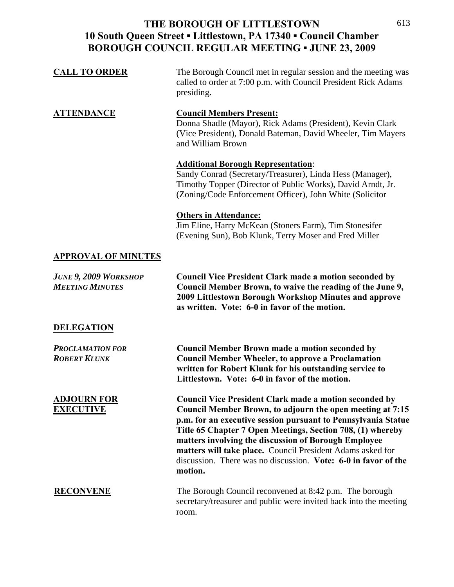| <b>CALL TO ORDER</b>                                   | The Borough Council met in regular session and the meeting was<br>called to order at 7:00 p.m. with Council President Rick Adams<br>presiding.                                                                                                                                                                                                                                                                                                               |
|--------------------------------------------------------|--------------------------------------------------------------------------------------------------------------------------------------------------------------------------------------------------------------------------------------------------------------------------------------------------------------------------------------------------------------------------------------------------------------------------------------------------------------|
| <b>ATTENDANCE</b>                                      | <b>Council Members Present:</b><br>Donna Shadle (Mayor), Rick Adams (President), Kevin Clark<br>(Vice President), Donald Bateman, David Wheeler, Tim Mayers<br>and William Brown                                                                                                                                                                                                                                                                             |
|                                                        | <b>Additional Borough Representation:</b><br>Sandy Conrad (Secretary/Treasurer), Linda Hess (Manager),<br>Timothy Topper (Director of Public Works), David Arndt, Jr.<br>(Zoning/Code Enforcement Officer), John White (Solicitor                                                                                                                                                                                                                            |
|                                                        | <b>Others in Attendance:</b><br>Jim Eline, Harry McKean (Stoners Farm), Tim Stonesifer<br>(Evening Sun), Bob Klunk, Terry Moser and Fred Miller                                                                                                                                                                                                                                                                                                              |
| <b>APPROVAL OF MINUTES</b>                             |                                                                                                                                                                                                                                                                                                                                                                                                                                                              |
| <b>JUNE 9, 2009 WORKSHOP</b><br><b>MEETING MINUTES</b> | <b>Council Vice President Clark made a motion seconded by</b><br>Council Member Brown, to waive the reading of the June 9,<br>2009 Littlestown Borough Workshop Minutes and approve<br>as written. Vote: 6-0 in favor of the motion.                                                                                                                                                                                                                         |
| <b>DELEGATION</b>                                      |                                                                                                                                                                                                                                                                                                                                                                                                                                                              |
| <b>PROCLAMATION FOR</b><br><b>ROBERT KLUNK</b>         | <b>Council Member Brown made a motion seconded by</b><br><b>Council Member Wheeler, to approve a Proclamation</b><br>written for Robert Klunk for his outstanding service to<br>Littlestown. Vote: 6-0 in favor of the motion.                                                                                                                                                                                                                               |
| <b>ADJOURN FOR</b><br><b>EXECUTIVE</b>                 | <b>Council Vice President Clark made a motion seconded by</b><br>Council Member Brown, to adjourn the open meeting at 7:15<br>p.m. for an executive session pursuant to Pennsylvania Statue<br>Title 65 Chapter 7 Open Meetings, Section 708, (1) whereby<br>matters involving the discussion of Borough Employee<br>matters will take place. Council President Adams asked for<br>discussion. There was no discussion. Vote: 6-0 in favor of the<br>motion. |
| <b>RECONVENE</b>                                       | The Borough Council reconvened at 8:42 p.m. The borough<br>secretary/treasurer and public were invited back into the meeting<br>room.                                                                                                                                                                                                                                                                                                                        |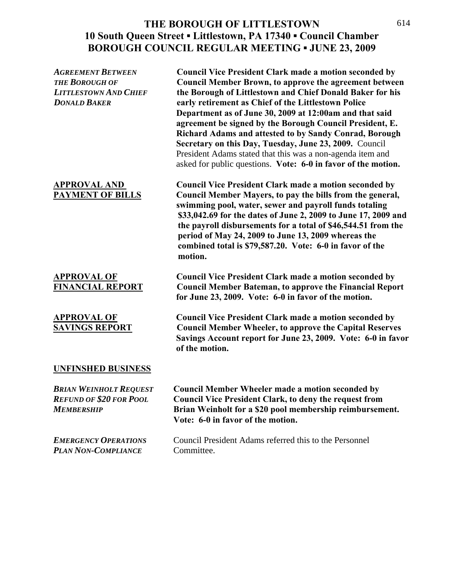| <b>AGREEMENT BETWEEN</b><br><b>THE BOROUGH OF</b><br><b>LITTLESTOWN AND CHIEF</b><br><b>DONALD BAKER</b> | <b>Council Vice President Clark made a motion seconded by</b><br><b>Council Member Brown, to approve the agreement between</b><br>the Borough of Littlestown and Chief Donald Baker for his<br>early retirement as Chief of the Littlestown Police<br>Department as of June 30, 2009 at 12:00am and that said<br>agreement be signed by the Borough Council President, E.<br>Richard Adams and attested to by Sandy Conrad, Borough<br>Secretary on this Day, Tuesday, June 23, 2009. Council<br>President Adams stated that this was a non-agenda item and<br>asked for public questions. Vote: 6-0 in favor of the motion. |
|----------------------------------------------------------------------------------------------------------|------------------------------------------------------------------------------------------------------------------------------------------------------------------------------------------------------------------------------------------------------------------------------------------------------------------------------------------------------------------------------------------------------------------------------------------------------------------------------------------------------------------------------------------------------------------------------------------------------------------------------|
| <b>APPROVAL AND</b><br>PAYMENT OF BILLS                                                                  | <b>Council Vice President Clark made a motion seconded by</b><br>Council Member Mayers, to pay the bills from the general,<br>swimming pool, water, sewer and payroll funds totaling<br>\$33,042.69 for the dates of June 2, 2009 to June 17, 2009 and<br>the payroll disbursements for a total of \$46,544.51 from the<br>period of May 24, 2009 to June 13, 2009 whereas the<br>combined total is \$79,587.20. Vote: 6-0 in favor of the<br>motion.                                                                                                                                                                        |
| <b>APPROVAL OF</b><br><b>FINANCIAL REPORT</b>                                                            | <b>Council Vice President Clark made a motion seconded by</b><br><b>Council Member Bateman, to approve the Financial Report</b><br>for June 23, 2009. Vote: 6-0 in favor of the motion.                                                                                                                                                                                                                                                                                                                                                                                                                                      |
| <b>APPROVAL OF</b><br><b>SAVINGS REPORT</b>                                                              | <b>Council Vice President Clark made a motion seconded by</b><br><b>Council Member Wheeler, to approve the Capital Reserves</b><br>Savings Account report for June 23, 2009. Vote: 6-0 in favor<br>of the motion.                                                                                                                                                                                                                                                                                                                                                                                                            |
| <b>UNFINSHED BUSINESS</b>                                                                                |                                                                                                                                                                                                                                                                                                                                                                                                                                                                                                                                                                                                                              |
| <b>BRIAN WEINHOLT REQUEST</b><br><b>REFUND OF \$20 FOR POOL</b><br><b>MEMBERSHIP</b>                     | <b>Council Member Wheeler made a motion seconded by</b><br><b>Council Vice President Clark, to deny the request from</b><br>Brian Weinholt for a \$20 pool membership reimbursement.<br>Vote: 6-0 in favor of the motion.                                                                                                                                                                                                                                                                                                                                                                                                    |
| <b>EMERGENCY OPERATIONS</b><br><b>PLAN NON-COMPLIANCE</b>                                                | Council President Adams referred this to the Personnel<br>Committee.                                                                                                                                                                                                                                                                                                                                                                                                                                                                                                                                                         |
|                                                                                                          |                                                                                                                                                                                                                                                                                                                                                                                                                                                                                                                                                                                                                              |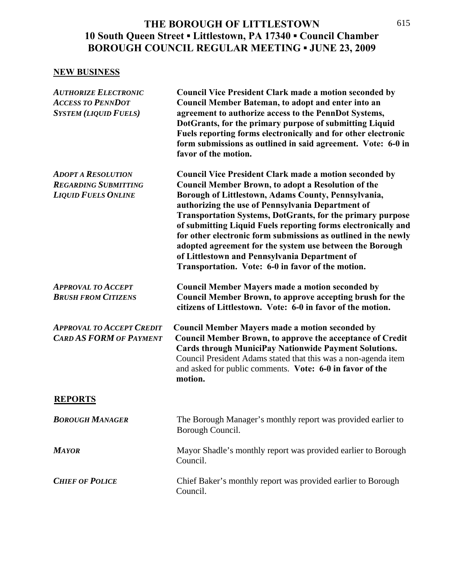### **NEW BUSINESS**

| <b>AUTHORIZE ELECTRONIC</b><br><b>ACCESS TO PENNDOT</b><br><b>SYSTEM (LIQUID FUELS)</b> | <b>Council Vice President Clark made a motion seconded by</b><br>Council Member Bateman, to adopt and enter into an<br>agreement to authorize access to the PennDot Systems,<br>DotGrants, for the primary purpose of submitting Liquid<br>Fuels reporting forms electronically and for other electronic<br>form submissions as outlined in said agreement. Vote: 6-0 in<br>favor of the motion.                                                                                                                                                                                                                 |
|-----------------------------------------------------------------------------------------|------------------------------------------------------------------------------------------------------------------------------------------------------------------------------------------------------------------------------------------------------------------------------------------------------------------------------------------------------------------------------------------------------------------------------------------------------------------------------------------------------------------------------------------------------------------------------------------------------------------|
| <b>ADOPT A RESOLUTION</b><br><b>REGARDING SUBMITTING</b><br><b>LIQUID FUELS ONLINE</b>  | <b>Council Vice President Clark made a motion seconded by</b><br><b>Council Member Brown, to adopt a Resolution of the</b><br>Borough of Littlestown, Adams County, Pennsylvania,<br>authorizing the use of Pennsylvania Department of<br><b>Transportation Systems, DotGrants, for the primary purpose</b><br>of submitting Liquid Fuels reporting forms electronically and<br>for other electronic form submissions as outlined in the newly<br>adopted agreement for the system use between the Borough<br>of Littlestown and Pennsylvania Department of<br>Transportation. Vote: 6-0 in favor of the motion. |
| <b>APPROVAL TO ACCEPT</b><br><b>BRUSH FROM CITIZENS</b>                                 | <b>Council Member Mayers made a motion seconded by</b><br>Council Member Brown, to approve accepting brush for the<br>citizens of Littlestown. Vote: 6-0 in favor of the motion.                                                                                                                                                                                                                                                                                                                                                                                                                                 |
| <b>APPROVAL TO ACCEPT CREDIT</b><br><b>CARD AS FORM OF PAYMENT</b>                      | <b>Council Member Mayers made a motion seconded by</b><br><b>Council Member Brown, to approve the acceptance of Credit</b><br><b>Cards through MuniciPay Nationwide Payment Solutions.</b><br>Council President Adams stated that this was a non-agenda item<br>and asked for public comments. Vote: 6-0 in favor of the<br>motion.                                                                                                                                                                                                                                                                              |
| <b>REPORTS</b>                                                                          |                                                                                                                                                                                                                                                                                                                                                                                                                                                                                                                                                                                                                  |
| <b>BOROUGH MANAGER</b>                                                                  | The Borough Manager's monthly report was provided earlier to<br>Borough Council.                                                                                                                                                                                                                                                                                                                                                                                                                                                                                                                                 |
| <b>MAYOR</b>                                                                            | Mayor Shadle's monthly report was provided earlier to Borough<br>Council.                                                                                                                                                                                                                                                                                                                                                                                                                                                                                                                                        |
| <b>CHIEF OF POLICE</b>                                                                  | Chief Baker's monthly report was provided earlier to Borough<br>Council.                                                                                                                                                                                                                                                                                                                                                                                                                                                                                                                                         |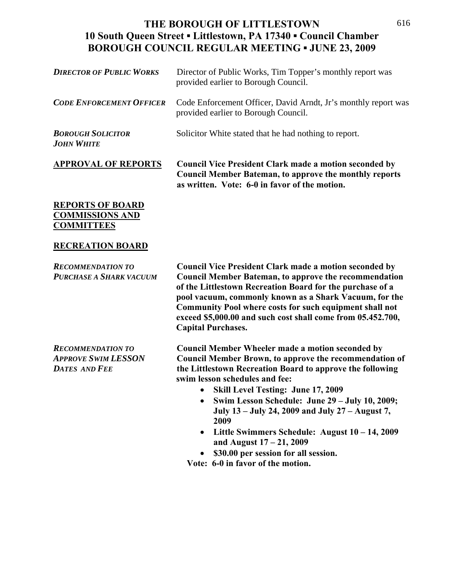| <b>APPROVAL OF REPORTS</b>                    | <b>Council Vice President Clark made a motion seconded by</b><br><b>Council Member Bateman, to approve the monthly reports</b> |
|-----------------------------------------------|--------------------------------------------------------------------------------------------------------------------------------|
| <b>BOROUGH SOLICITOR</b><br><b>JOHN WHITE</b> | Solicitor White stated that he had nothing to report.                                                                          |
| <b>CODE ENFORCEMENT OFFICER</b>               | Code Enforcement Officer, David Arndt, Jr's monthly report was<br>provided earlier to Borough Council.                         |
| <b>DIRECTOR OF PUBLIC WORKS</b>               | Director of Public Works, Tim Topper's monthly report was<br>provided earlier to Borough Council.                              |

**as written. Vote: 6-0 in favor of the motion.** 

#### **REPORTS OF BOARD COMMISSIONS AND COMMITTEES**

### **RECREATION BOARD**

| <b>RECOMMENDATION TO</b><br>PURCHASE A SHARK VACUUM                            | <b>Council Vice President Clark made a motion seconded by</b><br><b>Council Member Bateman, to approve the recommendation</b><br>of the Littlestown Recreation Board for the purchase of a<br>pool vacuum, commonly known as a Shark Vacuum, for the<br>Community Pool where costs for such equipment shall not<br>exceed \$5,000.00 and such cost shall come from 05.452.700,<br><b>Capital Purchases.</b>                                                            |
|--------------------------------------------------------------------------------|------------------------------------------------------------------------------------------------------------------------------------------------------------------------------------------------------------------------------------------------------------------------------------------------------------------------------------------------------------------------------------------------------------------------------------------------------------------------|
| <b>RECOMMENDATION TO</b><br><b>APPROVE SWIM LESSON</b><br><b>DATES AND FEE</b> | <b>Council Member Wheeler made a motion seconded by</b><br>Council Member Brown, to approve the recommendation of<br>the Littlestown Recreation Board to approve the following<br>swim lesson schedules and fee:<br><b>Skill Level Testing: June 17, 2009</b><br>$\bullet$<br>Swim Lesson Schedule: June 29 - July 10, 2009;<br>$\bullet$<br>July 13 – July 24, 2009 and July 27 – August 7,<br>2009<br>Little Swimmers Schedule: August $10 - 14$ , 2009<br>$\bullet$ |

- **and August 17 21, 2009**
- **\$30.00 per session for all session.**

 **Vote: 6-0 in favor of the motion.**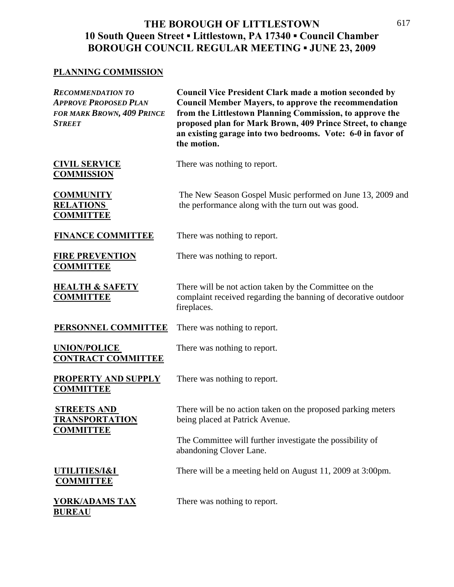### **PLANNING COMMISSION**

| <b>RECOMMENDATION TO</b><br><b>APPROVE PROPOSED PLAN</b><br>for mark Brown, 409 Prince<br>Street | <b>Council Vice President Clark made a motion seconded by</b><br><b>Council Member Mayers, to approve the recommendation</b><br>from the Littlestown Planning Commission, to approve the<br>proposed plan for Mark Brown, 409 Prince Street, to change<br>an existing garage into two bedrooms. Vote: 6-0 in favor of<br>the motion. |
|--------------------------------------------------------------------------------------------------|--------------------------------------------------------------------------------------------------------------------------------------------------------------------------------------------------------------------------------------------------------------------------------------------------------------------------------------|
| <b>CIVIL SERVICE</b><br><b>COMMISSION</b>                                                        | There was nothing to report.                                                                                                                                                                                                                                                                                                         |
| <b>COMMUNITY</b><br><b>RELATIONS</b><br><b>COMMITTEE</b>                                         | The New Season Gospel Music performed on June 13, 2009 and<br>the performance along with the turn out was good.                                                                                                                                                                                                                      |
| <b>FINANCE COMMITTEE</b>                                                                         | There was nothing to report.                                                                                                                                                                                                                                                                                                         |
| <b>FIRE PREVENTION</b><br><b>COMMITTEE</b>                                                       | There was nothing to report.                                                                                                                                                                                                                                                                                                         |
| <b>HEALTH &amp; SAFETY</b><br><b>COMMITTEE</b>                                                   | There will be not action taken by the Committee on the<br>complaint received regarding the banning of decorative outdoor<br>fireplaces.                                                                                                                                                                                              |
| PERSONNEL COMMITTEE                                                                              | There was nothing to report.                                                                                                                                                                                                                                                                                                         |
| <b>UNION/POLICE</b><br><b>CONTRACT COMMITTEE</b>                                                 | There was nothing to report.                                                                                                                                                                                                                                                                                                         |
| <b>PROPERTY AND SUPPLY</b><br><b>COMMITTEE</b>                                                   | There was nothing to report.                                                                                                                                                                                                                                                                                                         |
| <b>STREETS AND</b><br><b>TRANSPORTATION</b><br><b>COMMITTEE</b>                                  | There will be no action taken on the proposed parking meters<br>being placed at Patrick Avenue.                                                                                                                                                                                                                                      |
|                                                                                                  | The Committee will further investigate the possibility of<br>abandoning Clover Lane.                                                                                                                                                                                                                                                 |
| UTILITIES/I&I<br><b>COMMITTEE</b>                                                                | There will be a meeting held on August 11, 2009 at 3:00pm.                                                                                                                                                                                                                                                                           |
| <u>YORK/ADAMS TAX</u><br><u>BUREAU</u>                                                           | There was nothing to report.                                                                                                                                                                                                                                                                                                         |